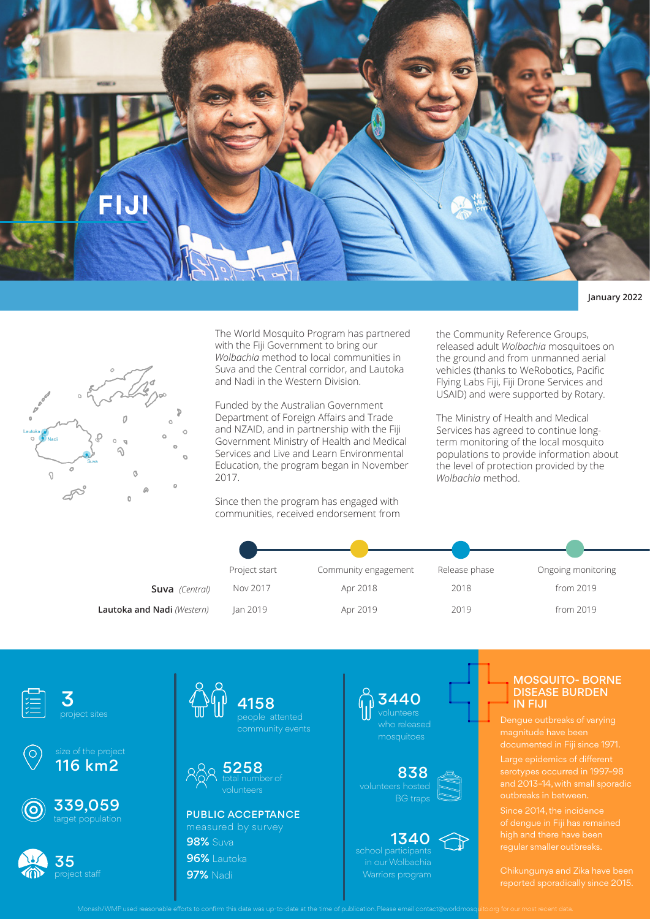

## **January 2022**



The World Mosquito Program has partnered with the Fiji Government to bring our *Wolbachia* method to local communities in Suva and the Central corridor, and Lautoka and Nadi in the Western Division.

Funded by the Australian Government Department of Foreign Affairs and Trade and NZAID, and in partnership with the Fiji Government Ministry of Health and Medical Services and Live and Learn Environmental Education, the program began in November 2017.

Since then the program has engaged with communities, received endorsement from the Community Reference Groups, released adult *Wolbachia* mosquitoes on the ground and from unmanned aerial vehicles (thanks to WeRobotics, Pacific Flying Labs Fiji, Fiji Drone Services and USAID) and were supported by Rotary.

The Ministry of Health and Medical Services has agreed to continue longterm monitoring of the local mosquito populations to provide information about the level of protection provided by the *Wolbachia* method.

|                            | Project start | Community engagement | Release phase | Ongoing monitoring |
|----------------------------|---------------|----------------------|---------------|--------------------|
| <b>Suva</b> (Central)      | Nov 2017      | Apr 2018             | 2018          | from 2019          |
| Lautoka and Nadi (Western) | Jan 2019      | Apr 2019             | 2019          | from 2019          |